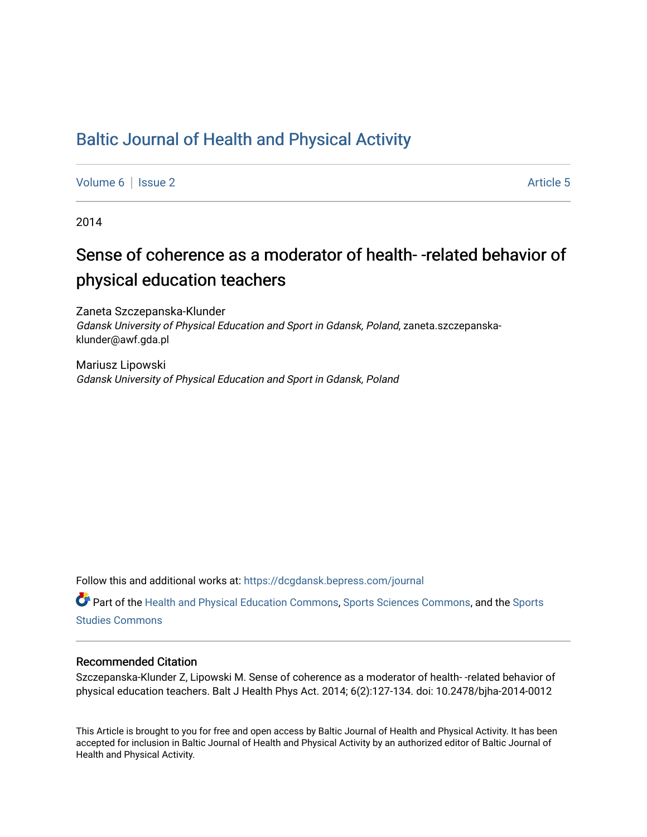# [Baltic Journal of Health and Physical Activity](https://dcgdansk.bepress.com/journal)

[Volume 6](https://dcgdansk.bepress.com/journal/vol6) | [Issue 2](https://dcgdansk.bepress.com/journal/vol6/iss2) Article 5

2014

# Sense of coherence as a moderator of health- -related behavior of physical education teachers

Zaneta Szczepanska-Klunder Gdansk University of Physical Education and Sport in Gdansk, Poland, zaneta.szczepanskaklunder@awf.gda.pl

Mariusz Lipowski Gdansk University of Physical Education and Sport in Gdansk, Poland

Follow this and additional works at: [https://dcgdansk.bepress.com/journal](https://dcgdansk.bepress.com/journal?utm_source=dcgdansk.bepress.com%2Fjournal%2Fvol6%2Fiss2%2F5&utm_medium=PDF&utm_campaign=PDFCoverPages)

Part of the [Health and Physical Education Commons](http://network.bepress.com/hgg/discipline/1327?utm_source=dcgdansk.bepress.com%2Fjournal%2Fvol6%2Fiss2%2F5&utm_medium=PDF&utm_campaign=PDFCoverPages), [Sports Sciences Commons](http://network.bepress.com/hgg/discipline/759?utm_source=dcgdansk.bepress.com%2Fjournal%2Fvol6%2Fiss2%2F5&utm_medium=PDF&utm_campaign=PDFCoverPages), and the [Sports](http://network.bepress.com/hgg/discipline/1198?utm_source=dcgdansk.bepress.com%2Fjournal%2Fvol6%2Fiss2%2F5&utm_medium=PDF&utm_campaign=PDFCoverPages)  [Studies Commons](http://network.bepress.com/hgg/discipline/1198?utm_source=dcgdansk.bepress.com%2Fjournal%2Fvol6%2Fiss2%2F5&utm_medium=PDF&utm_campaign=PDFCoverPages) 

#### Recommended Citation

Szczepanska-Klunder Z, Lipowski M. Sense of coherence as a moderator of health- -related behavior of physical education teachers. Balt J Health Phys Act. 2014; 6(2):127-134. doi: 10.2478/bjha-2014-0012

This Article is brought to you for free and open access by Baltic Journal of Health and Physical Activity. It has been accepted for inclusion in Baltic Journal of Health and Physical Activity by an authorized editor of Baltic Journal of Health and Physical Activity.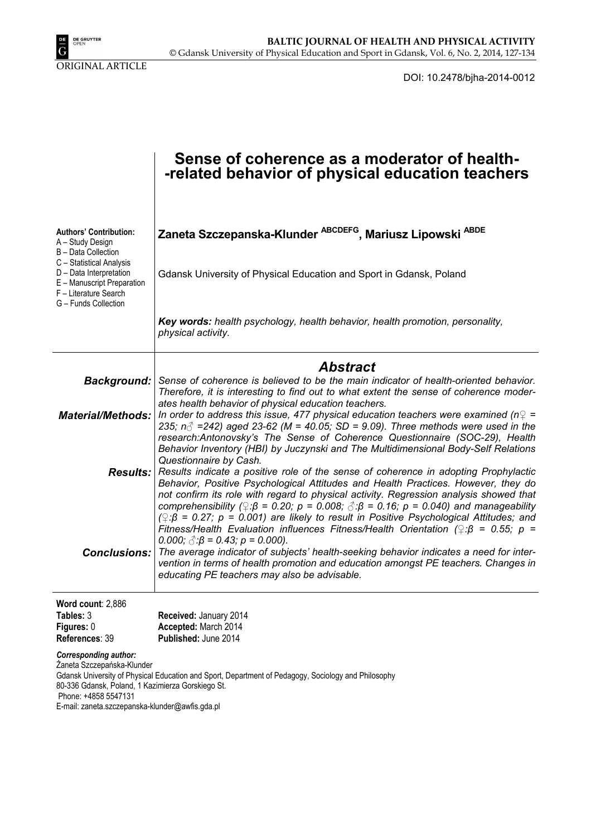

DOI: 10.2478/bjha-2014-0012

|                                                                                                                                         | Sense of coherence as a moderator of health-<br>-related behavior of physical education teachers                                                                                                                                                                                                                                                                                                                  |  |  |  |  |  |
|-----------------------------------------------------------------------------------------------------------------------------------------|-------------------------------------------------------------------------------------------------------------------------------------------------------------------------------------------------------------------------------------------------------------------------------------------------------------------------------------------------------------------------------------------------------------------|--|--|--|--|--|
| <b>Authors' Contribution:</b><br>A - Study Design<br>B - Data Collection<br>C - Statistical Analysis                                    | Zaneta Szczepanska-Klunder ABCDEFG, Mariusz Lipowski ABDE                                                                                                                                                                                                                                                                                                                                                         |  |  |  |  |  |
| D - Data Interpretation<br>E - Manuscript Preparation<br>F - Literature Search<br>G - Funds Collection                                  | Gdansk University of Physical Education and Sport in Gdansk, Poland                                                                                                                                                                                                                                                                                                                                               |  |  |  |  |  |
|                                                                                                                                         | Key words: health psychology, health behavior, health promotion, personality,<br>physical activity.                                                                                                                                                                                                                                                                                                               |  |  |  |  |  |
|                                                                                                                                         | Abstract                                                                                                                                                                                                                                                                                                                                                                                                          |  |  |  |  |  |
| <b>Background:</b>                                                                                                                      | Sense of coherence is believed to be the main indicator of health-oriented behavior.                                                                                                                                                                                                                                                                                                                              |  |  |  |  |  |
|                                                                                                                                         | Therefore, it is interesting to find out to what extent the sense of coherence moder-<br>ates health behavior of physical education teachers.                                                                                                                                                                                                                                                                     |  |  |  |  |  |
| <b>Material/Methods:</b>                                                                                                                | In order to address this issue, 477 physical education teachers were examined ( $n\hat{v}$ =<br>235; $n\text{ }3$ =242) aged 23-62 (M = 40.05; SD = 9.09). Three methods were used in the<br>research:Antonovsky's The Sense of Coherence Questionnaire (SOC-29), Health<br>Behavior Inventory (HBI) by Juczynski and The Multidimensional Body-Self Relations                                                    |  |  |  |  |  |
|                                                                                                                                         | Questionnaire by Cash.<br><b>Results:</b> Results indicate a positive role of the sense of coherence in adopting Prophylactic                                                                                                                                                                                                                                                                                     |  |  |  |  |  |
|                                                                                                                                         | Behavior, Positive Psychological Attitudes and Health Practices. However, they do<br>not confirm its role with regard to physical activity. Regression analysis showed that<br>comprehensibility ( $\frac{1}{2}$ : $\beta$ = 0.20; p = 0.008; $\partial$ : $\beta$ = 0.16; p = 0.040) and manageability<br>$(\sqrt{2}\cdot\beta = 0.27; p = 0.001)$ are likely to result in Positive Psychological Attitudes; and |  |  |  |  |  |
|                                                                                                                                         | Fitness/Health Evaluation influences Fitness/Health Orientation ( $\frac{1}{2}$ : $\beta$ = 0.55; p =                                                                                                                                                                                                                                                                                                             |  |  |  |  |  |
| <b>Conclusions:</b>                                                                                                                     | 0.000; $\triangle$ : $\beta$ = 0.43; p = 0.000).<br>The average indicator of subjects' health-seeking behavior indicates a need for inter-<br>vention in terms of health promotion and education amongst PE teachers. Changes in<br>educating PE teachers may also be advisable.                                                                                                                                  |  |  |  |  |  |
| Word count: 2,886                                                                                                                       |                                                                                                                                                                                                                                                                                                                                                                                                                   |  |  |  |  |  |
| Tables: 3                                                                                                                               | Received: January 2014                                                                                                                                                                                                                                                                                                                                                                                            |  |  |  |  |  |
| Figures: 0<br>References: 39                                                                                                            | Accepted: March 2014<br>Published: June 2014                                                                                                                                                                                                                                                                                                                                                                      |  |  |  |  |  |
| <b>Corresponding author:</b><br>Zaneta Szczepańska-Klunder<br>80-336 Gdansk, Poland, 1 Kazimierza Gorskiego St.<br>Phone: +4858 5547131 | Gdansk University of Physical Education and Sport, Department of Pedagogy, Sociology and Philosophy                                                                                                                                                                                                                                                                                                               |  |  |  |  |  |

E-mail: zaneta.szczepanska-klunder@awfis.gda.pl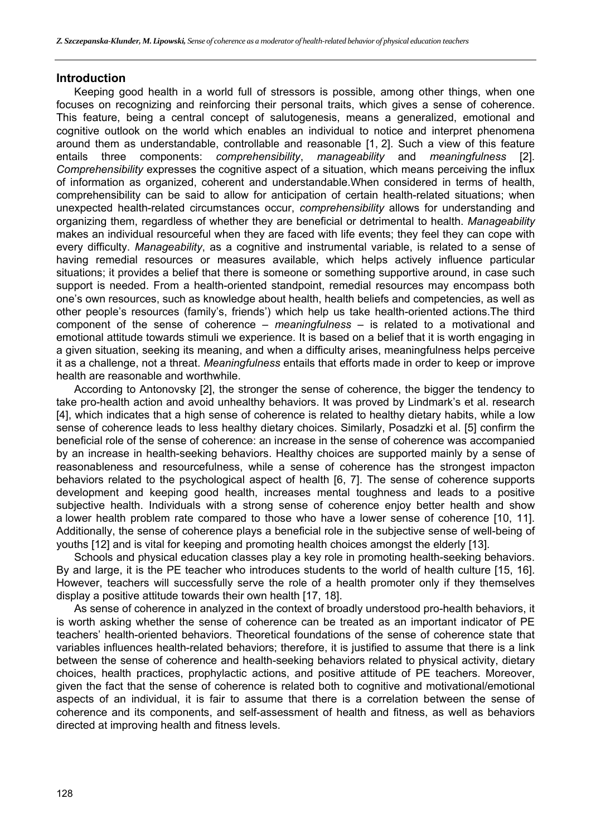#### **Introduction**

Keeping good health in a world full of stressors is possible, among other things, when one focuses on recognizing and reinforcing their personal traits, which gives a sense of coherence. This feature, being a central concept of salutogenesis, means a generalized, emotional and cognitive outlook on the world which enables an individual to notice and interpret phenomena around them as understandable, controllable and reasonable [1, 2]. Such a view of this feature entails three components: *comprehensibility*, *manageability* and *meaningfulness* [2]. *Comprehensibility* expresses the cognitive aspect of a situation, which means perceiving the influx of information as organized, coherent and understandable.When considered in terms of health, comprehensibility can be said to allow for anticipation of certain health-related situations; when unexpected health-related circumstances occur, *comprehensibility* allows for understanding and organizing them, regardless of whether they are beneficial or detrimental to health. *Manageability* makes an individual resourceful when they are faced with life events; they feel they can cope with every difficulty. *Manageability*, as a cognitive and instrumental variable, is related to a sense of having remedial resources or measures available, which helps actively influence particular situations; it provides a belief that there is someone or something supportive around, in case such support is needed. From a health-oriented standpoint, remedial resources may encompass both one's own resources, such as knowledge about health, health beliefs and competencies, as well as other people's resources (family's, friends') which help us take health-oriented actions.The third component of the sense of coherence – *meaningfulness* – is related to a motivational and emotional attitude towards stimuli we experience. It is based on a belief that it is worth engaging in a given situation, seeking its meaning, and when a difficulty arises, meaningfulness helps perceive it as a challenge, not a threat. *Meaningfulness* entails that efforts made in order to keep or improve health are reasonable and worthwhile.

According to Antonovsky [2], the stronger the sense of coherence, the bigger the tendency to take pro-health action and avoid unhealthy behaviors. It was proved by Lindmark's et al. research [4], which indicates that a high sense of coherence is related to healthy dietary habits, while a low sense of coherence leads to less healthy dietary choices. Similarly, Posadzki et al. [5] confirm the beneficial role of the sense of coherence: an increase in the sense of coherence was accompanied by an increase in health-seeking behaviors. Healthy choices are supported mainly by a sense of reasonableness and resourcefulness, while a sense of coherence has the strongest impacton behaviors related to the psychological aspect of health [6, 7]. The sense of coherence supports development and keeping good health, increases mental toughness and leads to a positive subjective health. Individuals with a strong sense of coherence enjoy better health and show a lower health problem rate compared to those who have a lower sense of coherence [10, 11]. Additionally, the sense of coherence plays a beneficial role in the subjective sense of well-being of youths [12] and is vital for keeping and promoting health choices amongst the elderly [13].

Schools and physical education classes play a key role in promoting health-seeking behaviors. By and large, it is the PE teacher who introduces students to the world of health culture [15, 16]. However, teachers will successfully serve the role of a health promoter only if they themselves display a positive attitude towards their own health [17, 18].

As sense of coherence in analyzed in the context of broadly understood pro-health behaviors, it is worth asking whether the sense of coherence can be treated as an important indicator of PE teachers' health-oriented behaviors. Theoretical foundations of the sense of coherence state that variables influences health-related behaviors; therefore, it is justified to assume that there is a link between the sense of coherence and health-seeking behaviors related to physical activity, dietary choices, health practices, prophylactic actions, and positive attitude of PE teachers. Moreover, given the fact that the sense of coherence is related both to cognitive and motivational/emotional aspects of an individual, it is fair to assume that there is a correlation between the sense of coherence and its components, and self-assessment of health and fitness, as well as behaviors directed at improving health and fitness levels.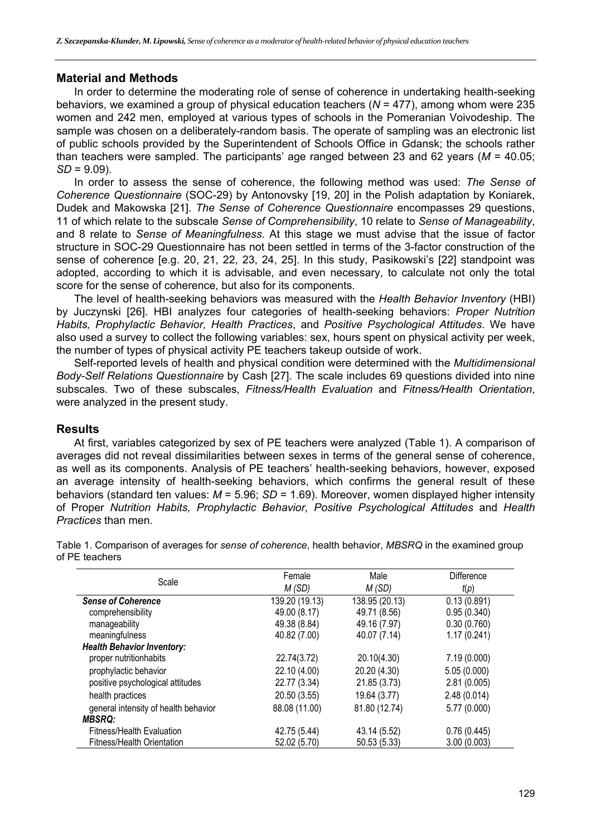# **Material and Methods**

In order to determine the moderating role of sense of coherence in undertaking health-seeking behaviors, we examined a group of physical education teachers (*N* = 477), among whom were 235 women and 242 men, employed at various types of schools in the Pomeranian Voivodeship. The sample was chosen on a deliberately-random basis. The operate of sampling was an electronic list of public schools provided by the Superintendent of Schools Office in Gdansk; the schools rather than teachers were sampled. The participants' age ranged between 23 and 62 years (*M* = 40.05; *SD* = 9.09).

In order to assess the sense of coherence, the following method was used: *The Sense of Coherence Questionnaire* (SOC-29) by Antonovsky [19, 20] in the Polish adaptation by Koniarek, Dudek and Makowska [21]. *The Sense of Coherence Questionnaire* encompasses 29 questions, 11 of which relate to the subscale *Sense of Comprehensibility*, 10 relate to *Sense of Manageability*, and 8 relate to *Sense of Meaningfulness*. At this stage we must advise that the issue of factor structure in SOC-29 Questionnaire has not been settled in terms of the 3-factor construction of the sense of coherence [e.g. 20, 21, 22, 23, 24, 25]. In this study, Pasikowski's [22] standpoint was adopted, according to which it is advisable, and even necessary, to calculate not only the total score for the sense of coherence, but also for its components.

The level of health-seeking behaviors was measured with the *Health Behavior Inventory* (HBI) by Juczynski [26]. HBI analyzes four categories of health-seeking behaviors: *Proper Nutrition Habits, Prophylactic Behavior, Health Practices*, and *Positive Psychological Attitudes*. We have also used a survey to collect the following variables: sex, hours spent on physical activity per week, the number of types of physical activity PE teachers takeup outside of work.

Self-reported levels of health and physical condition were determined with the *Multidimensional Body-Self Relations Questionnaire* by Cash [27]. The scale includes 69 questions divided into nine subscales. Two of these subscales, *Fitness/Health Evaluation* and *Fitness/Health Orientation*, were analyzed in the present study.

# **Results**

At first, variables categorized by sex of PE teachers were analyzed (Table 1). A comparison of averages did not reveal dissimilarities between sexes in terms of the general sense of coherence, as well as its components. Analysis of PE teachers' health-seeking behaviors, however, exposed an average intensity of health-seeking behaviors, which confirms the general result of these behaviors (standard ten values: *M* = 5.96; *SD* = 1.69). Moreover, women displayed higher intensity of Proper *Nutrition Habits, Prophylactic Behavior, Positive Psychological Attitudes* and *Health Practices* than men.

|                                      | Female         | Male           | Difference   |  |
|--------------------------------------|----------------|----------------|--------------|--|
| Scale                                | M(SD)          | M(SD)          | t(p)         |  |
| <b>Sense of Coherence</b>            | 139.20 (19.13) | 138.95 (20.13) | 0.13(0.891)  |  |
| comprehensibility                    | 49.00 (8.17)   | 49.71 (8.56)   | 0.95(0.340)  |  |
| manageability                        | 49.38 (8.84)   | 49.16 (7.97)   | 0.30(0.760)  |  |
| meaningfulness                       | 40.82 (7.00)   | 40.07 (7.14)   | 1.17(0.241)  |  |
| <b>Health Behavior Inventory:</b>    |                |                |              |  |
| proper nutritionhabits               | 22.74(3.72)    | 20.10(4.30)    | 7.19(0.000)  |  |
| prophylactic behavior                | 22.10 (4.00)   | 20.20 (4.30)   | 5.05(0.000)  |  |
| positive psychological attitudes     | 22.77 (3.34)   | 21.85 (3.73)   | 2.81(0.005)  |  |
| health practices                     | 20.50 (3.55)   | 19.64 (3.77)   | 2.48(0.014)  |  |
| general intensity of health behavior | 88.08 (11.00)  | 81.80 (12.74)  | 5.77 (0.000) |  |
| <b>MBSRQ:</b>                        |                |                |              |  |
| Fitness/Health Evaluation            | 42.75 (5.44)   | 43.14 (5.52)   | 0.76(0.445)  |  |
| <b>Fitness/Health Orientation</b>    | 52.02 (5.70)   | 50.53 (5.33)   | 3.00(0.003)  |  |

Table 1. Comparison of averages for *sense of coherence*, health behavior, *MBSRQ* in the examined group of PE teachers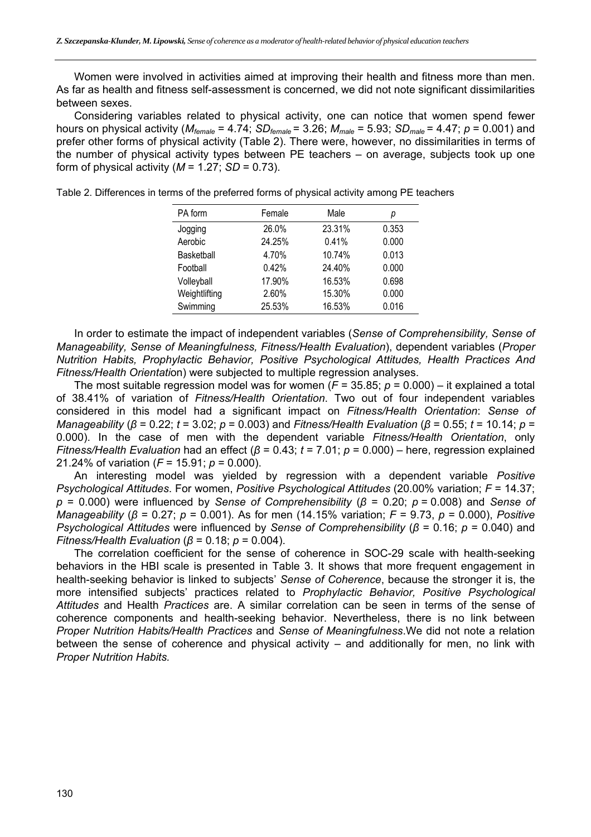Women were involved in activities aimed at improving their health and fitness more than men. As far as health and fitness self-assessment is concerned, we did not note significant dissimilarities between sexes.

Considering variables related to physical activity, one can notice that women spend fewer hours on physical activity (*Mfemale* = 4.74; *SDfemale* = 3.26; *Mmale* = 5.93; *SDmale* = 4.47; *p* = 0.001) and prefer other forms of physical activity (Table 2). There were, however, no dissimilarities in terms of the number of physical activity types between PE teachers – on average, subjects took up one form of physical activity ( $M = 1.27$ ;  $SD = 0.73$ ).

| PA form       | Female | Male   | р     |
|---------------|--------|--------|-------|
| Jogging       | 26.0%  | 23.31% | 0.353 |
| Aerobic       | 24.25% | 0.41%  | 0.000 |
| Basketball    | 4.70%  | 10.74% | 0.013 |
| Football      | 0.42%  | 24.40% | 0.000 |
| Volleyball    | 17.90% | 16.53% | 0.698 |
| Weightlifting | 2.60%  | 15.30% | 0.000 |
| Swimming      | 25.53% | 16.53% | 0.016 |

Table 2. Differences in terms of the preferred forms of physical activity among PE teachers

In order to estimate the impact of independent variables (*Sense of Comprehensibility, Sense of Manageability, Sense of Meaningfulness, Fitness/Health Evaluation*), dependent variables (*Proper Nutrition Habits, Prophylactic Behavior, Positive Psychological Attitudes, Health Practices And Fitness/Health Orientati*on) were subjected to multiple regression analyses.

The most suitable regression model was for women ( $F = 35.85$ ;  $p = 0.000$ ) – it explained a total of 38.41% of variation of *Fitness/Health Orientation*. Two out of four independent variables considered in this model had a significant impact on *Fitness/Health Orientation*: *Sense of Manageability* (*β* = 0.22; *t* = 3.02; *p* = 0.003) and *Fitness/Health Evaluation* (*β* = 0.55; *t* = 10.14; *p* = 0.000). In the case of men with the dependent variable *Fitness/Health Orientation*, only *Fitness/Health Evaluation* had an effect (*β* = 0.43; *t* = 7.01; *p* = 0.000) – here, regression explained 21.24% of variation (*F* = 15.91; *p* = 0.000).

An interesting model was yielded by regression with a dependent variable *Positive Psychological Attitudes*. For women, *Positive Psychological Attitudes* (20.00% variation; *F* = 14.37; *p* = 0.000) were influenced by *Sense of Comprehensibility* (*β* = 0.20; *p* = 0.008) and *Sense of Manageability* (*β* = 0.27; *p* = 0.001). As for men (14.15% variation; *F* = 9.73, *p* = 0.000), *Positive Psychological Attitudes* were influenced by *Sense of Comprehensibility* (*β* = 0.16; *p* = 0.040) and *Fitness/Health Evaluation* (*β* = 0.18; *p* = 0.004).

The correlation coefficient for the sense of coherence in SOC-29 scale with health-seeking behaviors in the HBI scale is presented in Table 3. It shows that more frequent engagement in health-seeking behavior is linked to subjects' *Sense of Coherence*, because the stronger it is, the more intensified subjects' practices related to *Prophylactic Behavior, Positive Psychological Attitudes* and Health *Practices* are. A similar correlation can be seen in terms of the sense of coherence components and health-seeking behavior. Nevertheless, there is no link between *Proper Nutrition Habits/Health Practices* and *Sense of Meaningfulness*.We did not note a relation between the sense of coherence and physical activity – and additionally for men, no link with *Proper Nutrition Habits.*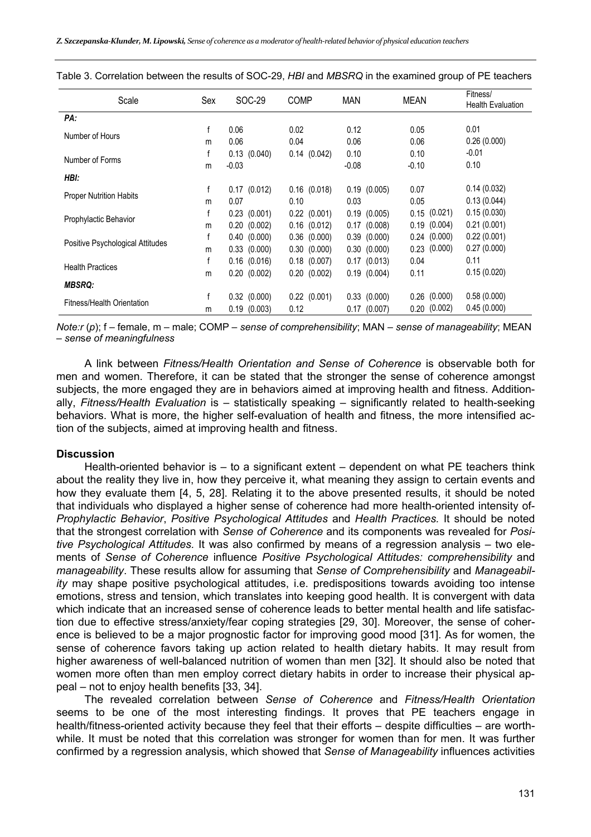| Scale                                   | Sex | SOC-29           | <b>COMP</b>      | <b>MAN</b>       | <b>MEAN</b>      | Fitness/<br><b>Health Evaluation</b> |
|-----------------------------------------|-----|------------------|------------------|------------------|------------------|--------------------------------------|
| PA:                                     |     |                  |                  |                  |                  |                                      |
| Number of Hours                         |     | 0.06             | 0.02             | 0.12             | 0.05             | 0.01                                 |
|                                         | m   | 0.06             | 0.04             | 0.06             | 0.06             | 0.26(0.000)                          |
| Number of Forms                         |     | $0.13$ $(0.040)$ | 0.14(0.042)      | 0.10             | 0.10             | $-0.01$                              |
|                                         | m   | $-0.03$          |                  | $-0.08$          | $-0.10$          | 0.10                                 |
| HBI:                                    |     |                  |                  |                  |                  |                                      |
| <b>Proper Nutrition Habits</b>          |     | $0.17$ $(0.012)$ | $0.16$ $(0.018)$ | $0.19$ $(0.005)$ | 0.07             | 0.14(0.032)                          |
|                                         | m   | 0.07             | 0.10             | 0.03             | 0.05             | 0.13(0.044)                          |
|                                         |     | $0.23$ $(0.001)$ | $0.22$ (0.001)   | $0.19$ $(0.005)$ | 0.15(0.021)      | 0.15(0.030)                          |
| Prophylactic Behavior                   | m   | $0.20$ $(0.002)$ | $0.16$ $(0.012)$ | $0.17$ $(0.008)$ | $0.19$ $(0.004)$ | 0.21(0.001)                          |
|                                         |     | 0.40(0.000)      | $0.36$ $(0.000)$ | 0.39(0.000)      | $0.24$ $(0.000)$ | 0.22(0.001)                          |
| <b>Positive Psychological Attitudes</b> | m   | $0.33$ $(0.000)$ | 0.30(0.000)      | 0.30(0.000)      | (0.000)<br>0.23  | 0.27(0.000)                          |
| <b>Health Practices</b>                 |     | $0.16$ (0.016)   | $0.18$ $(0.007)$ | $0.17$ $(0.013)$ | 0.04             | 0.11                                 |
|                                         | m   | $0.20$ $(0.002)$ | $0.20$ $(0.002)$ | 0.19<br>(0.004)  | 0.11             | 0.15(0.020)                          |
| <b>MBSRQ:</b>                           |     |                  |                  |                  |                  |                                      |
| Fitness/Health Orientation              |     | $0.32$ (0.000)   | $0.22$ (0.001)   | $0.33$ $(0.000)$ | $0.26$ $(0.000)$ | 0.58(0.000)                          |
|                                         | m   | $0.19$ $(0.003)$ | 0.12             | $0.17$ $(0.007)$ | (0.002)<br>0.20  | 0.45(0.000)                          |

|  |  | Table 3. Correlation between the results of SOC-29, HBI and MBSRQ in the examined group of PE teachers |  |
|--|--|--------------------------------------------------------------------------------------------------------|--|
|--|--|--------------------------------------------------------------------------------------------------------|--|

*Note:r* (*p*); f – female, m – male; COMP – *sense of comprehensibility*; MAN – *sense of manageability*; MEAN – *sen*s*e of meaningfulness*

A link between *Fitness/Health Orientation and Sense of Coherence* is observable both for men and women. Therefore, it can be stated that the stronger the sense of coherence amongst subjects, the more engaged they are in behaviors aimed at improving health and fitness. Additionally, *Fitness/Health Evaluation* is – statistically speaking – significantly related to health-seeking behaviors. What is more, the higher self-evaluation of health and fitness, the more intensified action of the subjects, aimed at improving health and fitness.

#### **Discussion**

Health-oriented behavior is – to a significant extent – dependent on what PE teachers think about the reality they live in, how they perceive it, what meaning they assign to certain events and how they evaluate them [4, 5, 28]. Relating it to the above presented results, it should be noted that individuals who displayed a higher sense of coherence had more health-oriented intensity of-*Prophylactic Behavior*, *Positive Psychological Attitudes* and *Health Practices.* It should be noted that the strongest correlation with *Sense of Coherence* and its components was revealed for *Positive Psychological Attitudes.* It was also confirmed by means of a regression analysis – two elements of *Sense of Coherence* influence *Positive Psychological Attitudes: comprehensibility* and *manageability*. These results allow for assuming that *Sense of Comprehensibility* and *Manageability* may shape positive psychological attitudes, i.e. predispositions towards avoiding too intense emotions, stress and tension, which translates into keeping good health. It is convergent with data which indicate that an increased sense of coherence leads to better mental health and life satisfaction due to effective stress/anxiety/fear coping strategies [29, 30]. Moreover, the sense of coherence is believed to be a major prognostic factor for improving good mood [31]. As for women, the sense of coherence favors taking up action related to health dietary habits. It may result from higher awareness of well-balanced nutrition of women than men [32]. It should also be noted that women more often than men employ correct dietary habits in order to increase their physical appeal – not to enjoy health benefits [33, 34].

The revealed correlation between *Sense of Coherence* and *Fitness/Health Orientation* seems to be one of the most interesting findings. It proves that PE teachers engage in health/fitness-oriented activity because they feel that their efforts – despite difficulties – are worthwhile. It must be noted that this correlation was stronger for women than for men. It was further confirmed by a regression analysis, which showed that *Sense of Manageability* influences activities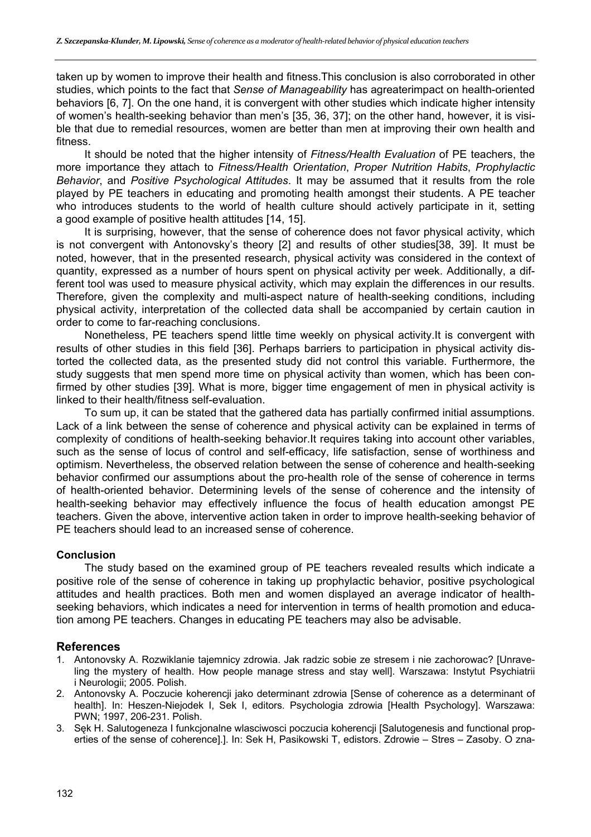taken up by women to improve their health and fitness.This conclusion is also corroborated in other studies, which points to the fact that *Sense of Manageability* has agreaterimpact on health-oriented behaviors [6, 7]. On the one hand, it is convergent with other studies which indicate higher intensity of women's health-seeking behavior than men's [35, 36, 37]; on the other hand, however, it is visible that due to remedial resources, women are better than men at improving their own health and fitness.

It should be noted that the higher intensity of *Fitness/Health Evaluation* of PE teachers, the more importance they attach to *Fitness/Health Orientation*, *Proper Nutrition Habits*, *Prophylactic Behavior*, and *Positive Psychological Attitudes*. It may be assumed that it results from the role played by PE teachers in educating and promoting health amongst their students. A PE teacher who introduces students to the world of health culture should actively participate in it, setting a good example of positive health attitudes [14, 15].

It is surprising, however, that the sense of coherence does not favor physical activity, which is not convergent with Antonovsky's theory [2] and results of other studies[38, 39]. It must be noted, however, that in the presented research, physical activity was considered in the context of quantity, expressed as a number of hours spent on physical activity per week. Additionally, a different tool was used to measure physical activity, which may explain the differences in our results. Therefore, given the complexity and multi-aspect nature of health-seeking conditions, including physical activity, interpretation of the collected data shall be accompanied by certain caution in order to come to far-reaching conclusions.

Nonetheless, PE teachers spend little time weekly on physical activity.It is convergent with results of other studies in this field [36]. Perhaps barriers to participation in physical activity distorted the collected data, as the presented study did not control this variable. Furthermore, the study suggests that men spend more time on physical activity than women, which has been confirmed by other studies [39]. What is more, bigger time engagement of men in physical activity is linked to their health/fitness self-evaluation.

To sum up, it can be stated that the gathered data has partially confirmed initial assumptions. Lack of a link between the sense of coherence and physical activity can be explained in terms of complexity of conditions of health-seeking behavior.It requires taking into account other variables, such as the sense of locus of control and self-efficacy, life satisfaction, sense of worthiness and optimism. Nevertheless, the observed relation between the sense of coherence and health-seeking behavior confirmed our assumptions about the pro-health role of the sense of coherence in terms of health-oriented behavior. Determining levels of the sense of coherence and the intensity of health-seeking behavior may effectively influence the focus of health education amongst PE teachers. Given the above, interventive action taken in order to improve health-seeking behavior of PE teachers should lead to an increased sense of coherence.

#### **Conclusion**

The study based on the examined group of PE teachers revealed results which indicate a positive role of the sense of coherence in taking up prophylactic behavior, positive psychological attitudes and health practices. Both men and women displayed an average indicator of healthseeking behaviors, which indicates a need for intervention in terms of health promotion and education among PE teachers. Changes in educating PE teachers may also be advisable.

# **References**

- 1. Antonovsky A. Rozwiklanie tajemnicy zdrowia. Jak radzic sobie ze stresem i nie zachorowac? [Unraveling the mystery of health. How people manage stress and stay well]. Warszawa: Instytut Psychiatrii i Neurologii; 2005. Polish.
- 2. Antonovsky A. Poczucie koherencji jako determinant zdrowia [Sense of coherence as a determinant of health]. In: Heszen-Niejodek I, Sek I, editors. Psychologia zdrowia [Health Psychology]. Warszawa: PWN; 1997, 206-231. Polish.
- 3. Sęk H. Salutogeneza I funkcjonalne wlasciwosci poczucia koherencji [Salutogenesis and functional properties of the sense of coherence].]. In: Sek H, Pasikowski T, edistors. Zdrowie – Stres – Zasoby. O zna-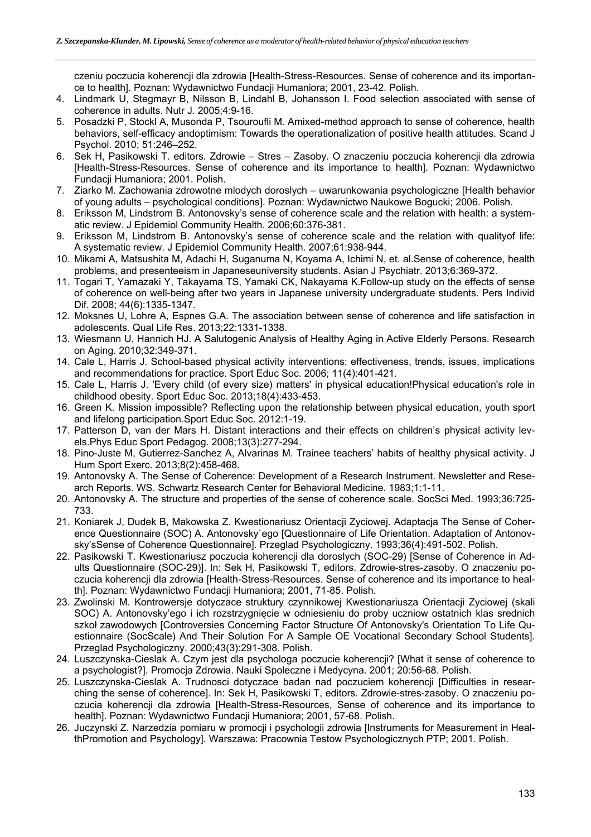czeniu poczucia koherencji dla zdrowia [Health-Stress-Resources. Sense of coherence and its importance to health]. Poznan: Wydawnictwo Fundacji Humaniora; 2001, 23-42. Polish.

- 4. Lindmark U, Stegmayr B, Nilsson B, Lindahl B, Johansson I. Food selection associated with sense of coherence in adults. Nutr J. 2005;4:9-16.
- 5. Posadzki P, Stockl A, Musonda P, Tsouroufli M. Amixed-method approach to sense of coherence, health behaviors, self-efficacy andoptimism: Towards the operationalization of positive health attitudes. Scand J Psychol. 2010; 51:246–252.
- 6. Sek H, Pasikowski T. editors. Zdrowie Stres Zasoby. O znaczeniu poczucia koherencji dla zdrowia [Health-Stress-Resources. Sense of coherence and its importance to health]. Poznan: Wydawnictwo Fundacji Humaniora; 2001. Polish.
- 7. Ziarko M. Zachowania zdrowotne mlodych doroslych uwarunkowania psychologiczne [Health behavior of young adults – psychological conditions]. Poznan: Wydawnictwo Naukowe Bogucki; 2006. Polish.
- 8. Eriksson M, Lindstrom B. Antonovsky's sense of coherence scale and the relation with health: a systematic review. J Epidemiol Community Health. 2006;60:376-381.
- 9. Eriksson M, Lindstrom B. Antonovsky's sense of coherence scale and the relation with qualityof life: A systematic review. J Epidemiol Community Health. 2007;61:938-944.
- 10. Mikami A, Matsushita M, Adachi H, Suganuma N, Koyama A, Ichimi N, et. al.Sense of coherence, health problems, and presenteeism in Japaneseuniversity students. Asian J Psychiatr. 2013;6:369-372.
- 11. Togari T, Yamazaki Y, Takayama TS, Yamaki CK, Nakayama K.Follow-up study on the effects of sense of coherence on well-being after two years in Japanese university undergraduate students. Pers Individ Dif. 2008; 44(6):1335-1347.
- 12. Moksnes U, Lohre A, Espnes G.A. The association between sense of coherence and life satisfaction in adolescents. Qual Life Res. 2013;22:1331-1338.
- 13. Wiesmann U, Hannich HJ. A Salutogenic Analysis of Healthy Aging in Active Elderly Persons. Research on Aging. 2010;32:349-371.
- 14. Cale L, Harris J. School-based physical activity interventions: effectiveness, trends, issues, implications and recommendations for practice. Sport Educ Soc. 2006; 11(4):401-421.
- 15. Cale L, Harris J. 'Every child (of every size) matters' in physical education!Physical education's role in childhood obesity. Sport Educ Soc. 2013;18(4):433-453.
- 16. Green K. Mission impossible? Reflecting upon the relationship between physical education, youth sport and lifelong participation.Sport Educ Soc. 2012:1-19.
- 17. Patterson D, van der Mars H. Distant interactions and their effects on children's physical activity levels.Phys Educ Sport Pedagog. 2008;13(3):277-294.
- 18. Pino-Juste M, Gutierrez-Sanchez A, Alvarinas M. Trainee teachers' habits of healthy physical activity. J Hum Sport Exerc. 2013;8(2):458-468.
- 19. Antonovsky A. The Sense of Coherence: Development of a Research Instrument. Newsletter and Research Reports. WS. Schwartz Research Center for Behavioral Medicine. 1983;1:1-11.
- 20. Antonovsky A. The structure and properties of the sense of coherence scale. SocSci Med. 1993;36:725- 733.
- 21. Koniarek J, Dudek B, Makowska Z. Kwestionariusz Orientacji Zyciowej. Adaptacja The Sense of Coherence Questionnaire (SOC) A. Antonovsky`ego [Questionnaire of Life Orientation. Adaptation of Antonovsky'sSense of Coherence Questionnaire]. Przeglad Psychologiczny. 1993;36(4):491-502. Polish.
- 22. Pasikowski T. Kwestionariusz poczucia koherencji dla doroslych (SOC-29) [Sense of Coherence in Adults Questionnaire (SOC-29)]. In: Sek H, Pasikowski T, editors. Zdrowie-stres-zasoby. O znaczeniu poczucia koherencji dla zdrowia [Health-Stress-Resources. Sense of coherence and its importance to health]. Poznan: Wydawnictwo Fundacji Humaniora; 2001, 71-85. Polish.
- 23. Zwolinski M. Kontrowersje dotyczace struktury czynnikowej Kwestionariusza Orientacji Zyciowej (skali SOC) A. Antonovsky'ego i ich rozstrzygnięcie w odniesieniu do proby uczniow ostatnich klas srednich szkoł zawodowych [Controversies Concerning Factor Structure Of Antonovsky's Orientation To Life Questionnaire (SocScale) And Their Solution For A Sample OE Vocational Secondary School Students]. Przeglad Psychologiczny. 2000;43(3):291-308. Polish.
- 24. Luszczynska-Cieslak A. Czym jest dla psychologa poczucie koherencji? [What it sense of coherence to a psychologist?]. Promocja Zdrowia. Nauki Spoleczne i Medycyna. 2001; 20:56-68. Polish.
- 25. Luszczynska-Cieslak A. Trudnosci dotyczace badan nad poczuciem koherencji [Difficulties in researching the sense of coherence]. In: Sek H, Pasikowski T, editors. Zdrowie-stres-zasoby. O znaczeniu poczucia koherencji dla zdrowia [Health-Stress-Resources, Sense of coherence and its importance to health]. Poznan: Wydawnictwo Fundacji Humaniora; 2001, 57-68. Polish.
- 26. Juczynski Z. Narzedzia pomiaru w promocji i psychologii zdrowia [Instruments for Measurement in HealthPromotion and Psychology]. Warszawa: Pracownia Testow Psychologicznych PTP; 2001. Polish.